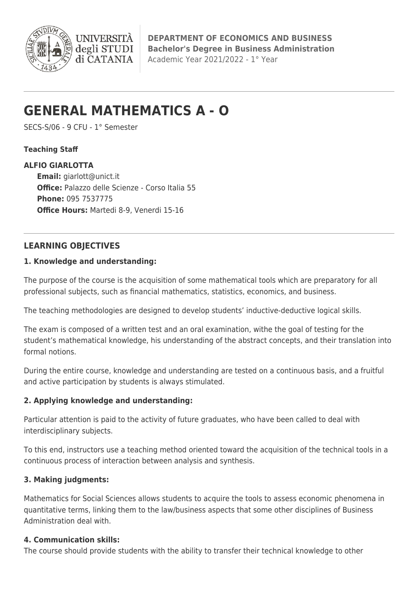

**DEPARTMENT OF ECONOMICS AND BUSINESS Bachelor's Degree in Business Administration** Academic Year 2021/2022 - 1° Year

# **GENERAL MATHEMATICS A - O**

**I INIVERSITA** degli STUDI di CATANIA

SECS-S/06 - 9 CFU - 1° Semester

### **Teaching Staff**

#### **ALFIO GIARLOTTA**

**Email:** [giarlott@unict.it](mailto:giarlott@unict.it) **Office:** Palazzo delle Scienze - Corso Italia 55 **Phone:** 095 7537775 **Office Hours:** Martedi 8-9, Venerdi 15-16

# **LEARNING OBJECTIVES**

#### **1. Knowledge and understanding:**

The purpose of the course is the acquisition of some mathematical tools which are preparatory for all professional subjects, such as financial mathematics, statistics, economics, and business.

The teaching methodologies are designed to develop students' inductive-deductive logical skills.

The exam is composed of a written test and an oral examination, withe the goal of testing for the student's mathematical knowledge, his understanding of the abstract concepts, and their translation into formal notions.

During the entire course, knowledge and understanding are tested on a continuous basis, and a fruitful and active participation by students is always stimulated.

### **2. Applying knowledge and understanding:**

Particular attention is paid to the activity of future graduates, who have been called to deal with interdisciplinary subjects.

To this end, instructors use a teaching method oriented toward the acquisition of the technical tools in a continuous process of interaction between analysis and synthesis.

### **3. Making judgments:**

Mathematics for Social Sciences allows students to acquire the tools to assess economic phenomena in quantitative terms, linking them to the law/business aspects that some other disciplines of Business Administration deal with.

### **4. Communication skills:**

The course should provide students with the ability to transfer their technical knowledge to other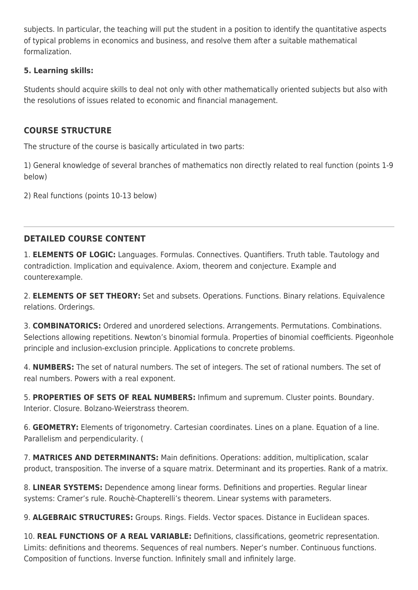subjects. In particular, the teaching will put the student in a position to identify the quantitative aspects of typical problems in economics and business, and resolve them after a suitable mathematical formalization.

## **5. Learning skills:**

Students should acquire skills to deal not only with other mathematically oriented subjects but also with the resolutions of issues related to economic and financial management.

# **COURSE STRUCTURE**

The structure of the course is basically articulated in two parts:

1) General knowledge of several branches of mathematics non directly related to real function (points 1-9 below)

2) Real functions (points 10-13 below)

# **DETAILED COURSE CONTENT**

1. **ELEMENTS OF LOGIC:** Languages. Formulas. Connectives. Quantifiers. Truth table. Tautology and contradiction. Implication and equivalence. Axiom, theorem and conjecture. Example and counterexample.

2. **ELEMENTS OF SET THEORY:** Set and subsets. Operations. Functions. Binary relations. Equivalence relations. Orderings.

3. **COMBINATORICS:** Ordered and unordered selections. Arrangements. Permutations. Combinations. Selections allowing repetitions. Newton's binomial formula. Properties of binomial coefficients. Pigeonhole principle and inclusion-exclusion principle. Applications to concrete problems.

4. **NUMBERS:** The set of natural numbers. The set of integers. The set of rational numbers. The set of real numbers. Powers with a real exponent.

5. **PROPERTIES OF SETS OF REAL NUMBERS:** Infimum and supremum. Cluster points. Boundary. Interior. Closure. Bolzano-Weierstrass theorem.

6. **GEOMETRY:** Elements of trigonometry. Cartesian coordinates. Lines on a plane. Equation of a line. Parallelism and perpendicularity. (

7. **MATRICES AND DETERMINANTS:** Main definitions. Operations: addition, multiplication, scalar product, transposition. The inverse of a square matrix. Determinant and its properties. Rank of a matrix.

8. **LINEAR SYSTEMS:** Dependence among linear forms. Definitions and properties. Regular linear systems: Cramer's rule. Rouchè-Chapterelli's theorem. Linear systems with parameters.

9. **ALGEBRAIC STRUCTURES:** Groups. Rings. Fields. Vector spaces. Distance in Euclidean spaces.

10. **REAL FUNCTIONS OF A REAL VARIABLE:** Definitions, classifications, geometric representation. Limits: definitions and theorems. Sequences of real numbers. Neper's number. Continuous functions. Composition of functions. Inverse function. Infinitely small and infinitely large.